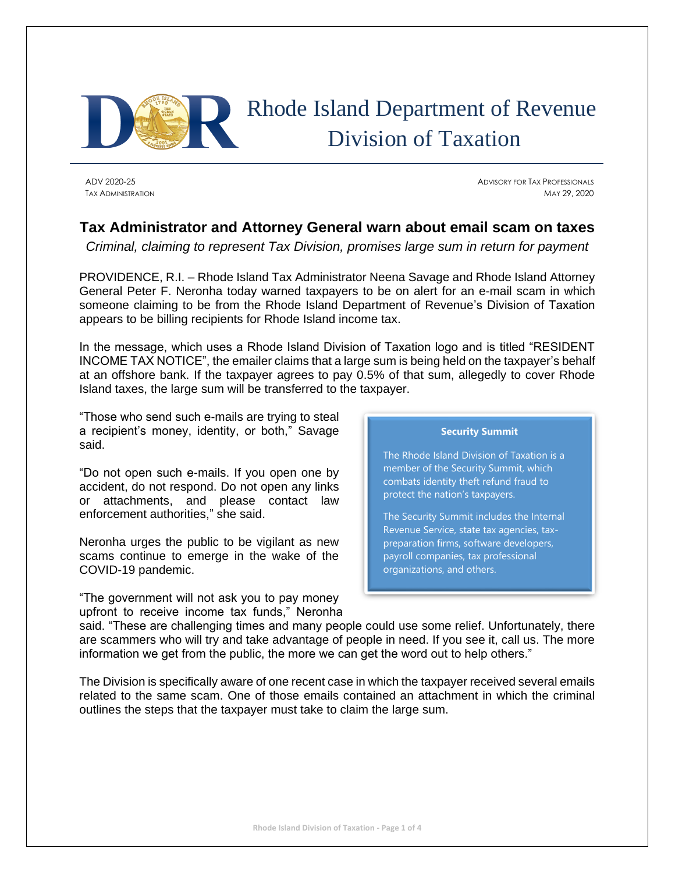

# Rhode Island Department of Revenue Division of Taxation

ADV 2020-25 ADVISORY FOR TAX PROFESSIONALS TAX ADMINISTRATION MAY 29, 2020

# **Tax Administrator and Attorney General warn about email scam on taxes**

*Criminal, claiming to represent Tax Division, promises large sum in return for payment*

PROVIDENCE, R.I. – Rhode Island Tax Administrator Neena Savage and Rhode Island Attorney General Peter F. Neronha today warned taxpayers to be on alert for an e-mail scam in which someone claiming to be from the Rhode Island Department of Revenue's Division of Taxation appears to be billing recipients for Rhode Island income tax.

In the message, which uses a Rhode Island Division of Taxation logo and is titled "RESIDENT INCOME TAX NOTICE", the emailer claims that a large sum is being held on the taxpayer's behalf at an offshore bank. If the taxpayer agrees to pay 0.5% of that sum, allegedly to cover Rhode Island taxes, the large sum will be transferred to the taxpayer.

"Those who send such e-mails are trying to steal a recipient's money, identity, or both," Savage said.

"Do not open such e-mails. If you open one by accident, do not respond. Do not open any links or attachments, and please contact law enforcement authorities," she said.

Neronha urges the public to be vigilant as new scams continue to emerge in the wake of the COVID-19 pandemic.

"The government will not ask you to pay money upfront to receive income tax funds," Neronha

## **Security Summit**

The Rhode Island Division of Taxation is a member of the Security Summit, which combats identity theft refund fraud to protect the nation's taxpayers.

The Security Summit includes the Internal Revenue Service, state tax agencies, taxpreparation firms, software developers, payroll companies, tax professional organizations, and others.

said. "These are challenging times and many people could use some relief. Unfortunately, there are scammers who will try and take advantage of people in need. If you see it, call us. The more information we get from the public, the more we can get the word out to help others."

The Division is specifically aware of one recent case in which the taxpayer received several emails related to the same scam. One of those emails contained an attachment in which the criminal outlines the steps that the taxpayer must take to claim the large sum.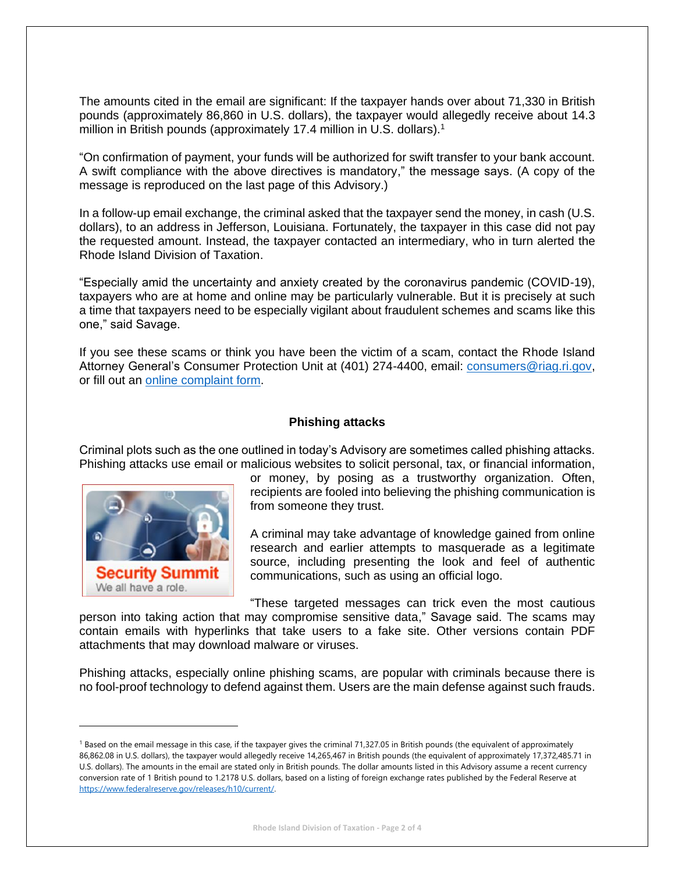The amounts cited in the email are significant: If the taxpayer hands over about 71,330 in British pounds (approximately 86,860 in U.S. dollars), the taxpayer would allegedly receive about 14.3 million in British pounds (approximately 17.4 million in U.S. dollars).<sup>1</sup>

"On confirmation of payment, your funds will be authorized for swift transfer to your bank account. A swift compliance with the above directives is mandatory," the message says. (A copy of the message is reproduced on the last page of this Advisory.)

In a follow-up email exchange, the criminal asked that the taxpayer send the money, in cash (U.S. dollars), to an address in Jefferson, Louisiana. Fortunately, the taxpayer in this case did not pay the requested amount. Instead, the taxpayer contacted an intermediary, who in turn alerted the Rhode Island Division of Taxation.

"Especially amid the uncertainty and anxiety created by the coronavirus pandemic (COVID-19), taxpayers who are at home and online may be particularly vulnerable. But it is precisely at such a time that taxpayers need to be especially vigilant about fraudulent schemes and scams like this one," said Savage.

If you see these scams or think you have been the victim of a scam, contact the Rhode Island Attorney General's Consumer Protection Unit at (401) 274-4400, email: [consumers@riag.ri.gov,](mailto:consumers@riag.ri.gov) or fill out an [online complaint form.](https://riag.wufoo.com/forms/q1851amb1bdd4d5/)

## **Phishing attacks**

Criminal plots such as the one outlined in today's Advisory are sometimes called phishing attacks. Phishing attacks use email or malicious websites to solicit personal, tax, or financial information,



or money, by posing as a trustworthy organization. Often, recipients are fooled into believing the phishing communication is from someone they trust.

A criminal may take advantage of knowledge gained from online research and earlier attempts to masquerade as a legitimate source, including presenting the look and feel of authentic communications, such as using an official logo.

"These targeted messages can trick even the most cautious

person into taking action that may compromise sensitive data," Savage said. The scams may contain emails with hyperlinks that take users to a fake site. Other versions contain PDF attachments that may download malware or viruses.

Phishing attacks, especially online phishing scams, are popular with criminals because there is no fool-proof technology to defend against them. Users are the main defense against such frauds.

<sup>&</sup>lt;sup>1</sup> Based on the email message in this case, if the taxpayer gives the criminal 71,327.05 in British pounds (the equivalent of approximately 86,862.08 in U.S. dollars), the taxpayer would allegedly receive 14,265,467 in British pounds (the equivalent of approximately 17,372,485.71 in U.S. dollars). The amounts in the email are stated only in British pounds. The dollar amounts listed in this Advisory assume a recent currency conversion rate of 1 British pound to 1.2178 U.S. dollars, based on a listing of foreign exchange rates published by the Federal Reserve at [https://www.federalreserve.gov/releases/h10/current/.](https://www.federalreserve.gov/releases/h10/current/)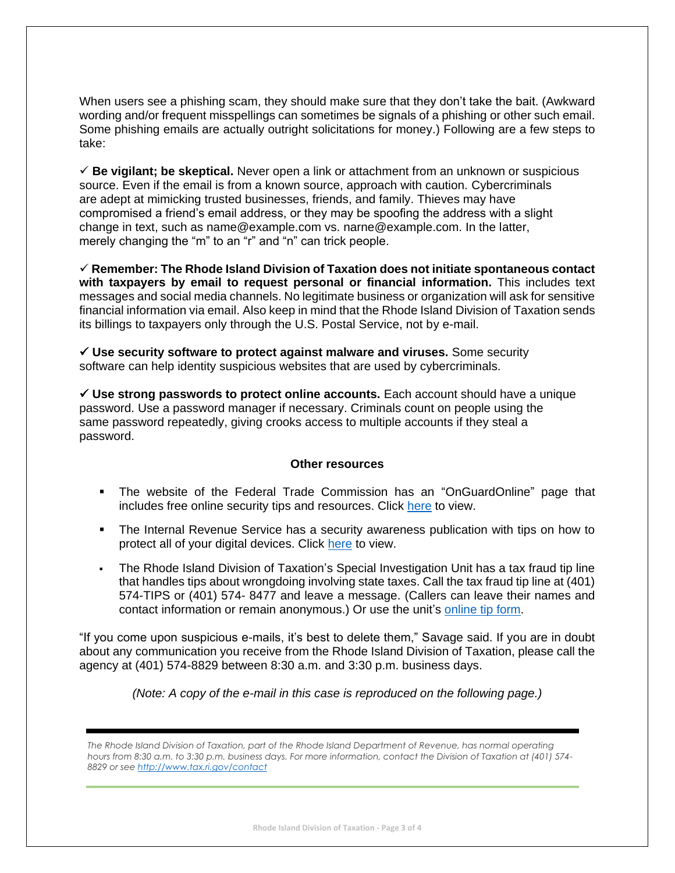When users see a phishing scam, they should make sure that they don't take the bait. (Awkward wording and/or frequent misspellings can sometimes be signals of a phishing or other such email. Some phishing emails are actually outright solicitations for money.) Following are a few steps to take:

✓ **Be vigilant; be skeptical.** Never open a link or attachment from an unknown or suspicious source. Even if the email is from a known source, approach with caution. Cybercriminals are adept at mimicking trusted businesses, friends, and family. Thieves may have compromised a friend's email address, or they may be spoofing the address with a slight change in text, such as name@example.com vs. narne@example.com. In the latter, merely changing the "m" to an "r" and "n" can trick people.

✓ **Remember: The Rhode Island Division of Taxation does not initiate spontaneous contact with taxpayers by email to request personal or financial information.** This includes text messages and social media channels. No legitimate business or organization will ask for sensitive financial information via email. Also keep in mind that the Rhode Island Division of Taxation sends its billings to taxpayers only through the U.S. Postal Service, not by e-mail.

✓ **Use security software to protect against malware and viruses.** Some security software can help identity suspicious websites that are used by cybercriminals.

✓ **Use strong passwords to protect online accounts.** Each account should have a unique password. Use a password manager if necessary. Criminals count on people using the same password repeatedly, giving crooks access to multiple accounts if they steal a password.

### **Other resources**

- The website of the Federal Trade Commission has an "OnGuardOnline" page that includes free online security tips and resources. Click [here](https://www.consumer.ftc.gov/features/feature-0038-onguardonline) to view.
- The Internal Revenue Service has a security awareness publication with tips on how to protect all of your digital devices. Click [here](https://www.irs.gov/pub/irs-pdf/p4524.pdf) to view.
- The Rhode Island Division of Taxation's Special Investigation Unit has a tax fraud tip line that handles tips about wrongdoing involving state taxes. Call the tax fraud tip line at (401) 574-TIPS or (401) 574- 8477 and leave a message. (Callers can leave their names and contact information or remain anonymous.) Or use the unit's [online tip form.](https://rigov.wufoo.com/forms/report-rhode-island-tax-fraud/)

"If you come upon suspicious e-mails, it's best to delete them," Savage said. If you are in doubt about any communication you receive from the Rhode Island Division of Taxation, please call the agency at (401) 574-8829 between 8:30 a.m. and 3:30 p.m. business days.

*(Note: A copy of the e-mail in this case is reproduced on the following page.)*

*The Rhode Island Division of Taxation, part of the Rhode Island Department of Revenue, has normal operating hours from 8:30 a.m. to 3:30 p.m. business days. For more information, contact the Division of Taxation at (401) 574- 8829 or see<http://www.tax.ri.gov/contact>*